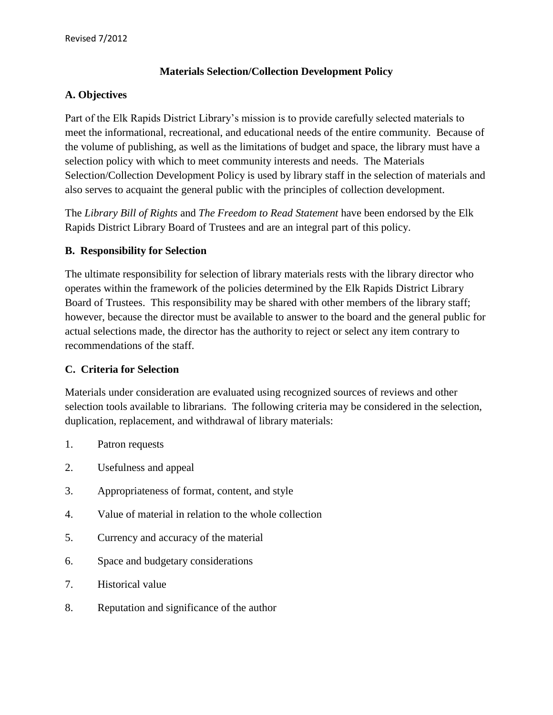## **Materials Selection/Collection Development Policy**

### **A. Objectives**

Part of the Elk Rapids District Library's mission is to provide carefully selected materials to meet the informational, recreational, and educational needs of the entire community. Because of the volume of publishing, as well as the limitations of budget and space, the library must have a selection policy with which to meet community interests and needs. The Materials Selection/Collection Development Policy is used by library staff in the selection of materials and also serves to acquaint the general public with the principles of collection development.

The *Library Bill of Rights* and *The Freedom to Read Statement* have been endorsed by the Elk Rapids District Library Board of Trustees and are an integral part of this policy.

## **B. Responsibility for Selection**

The ultimate responsibility for selection of library materials rests with the library director who operates within the framework of the policies determined by the Elk Rapids District Library Board of Trustees. This responsibility may be shared with other members of the library staff; however, because the director must be available to answer to the board and the general public for actual selections made, the director has the authority to reject or select any item contrary to recommendations of the staff.

#### **C. Criteria for Selection**

Materials under consideration are evaluated using recognized sources of reviews and other selection tools available to librarians. The following criteria may be considered in the selection, duplication, replacement, and withdrawal of library materials:

- 1. Patron requests
- 2. Usefulness and appeal
- 3. Appropriateness of format, content, and style
- 4. Value of material in relation to the whole collection
- 5. Currency and accuracy of the material
- 6. Space and budgetary considerations
- 7. Historical value
- 8. Reputation and significance of the author